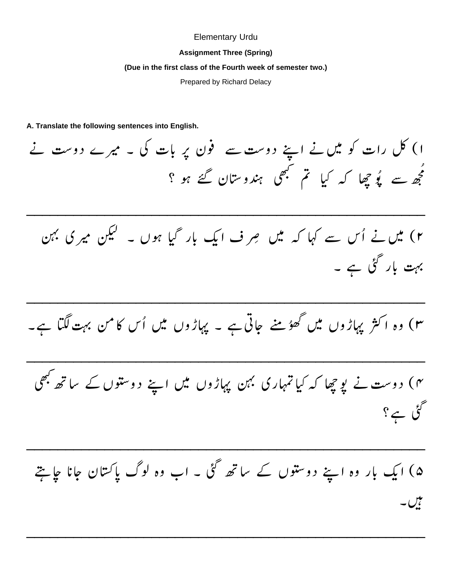## **Elementary Urdu**

## **Assignment Three (Spring)**

## (Due in the first class of the Fourth week of semester two.)

Prepared by Richard Delacy

A. Translate the following sentences into English.

ا) کل رات کو میں نے اپنے دوست سے فون پر بات کی ۔ میرے دوست نے مجھ سے یوُ جھا کہ کیا تم کبھی ہندوستان گئے ہو ؟

۲) میں نے اُس سے کہا کہ میں صرف ایک بار گیا ہوں ۔ لیکن میر کی بہن بہت بار گئی ہے ۔

۳) وہ اکثر پہاڑوں میں گھوُمنے جاتی ہے ۔ پہاڑوں میں اُس کامن بہت لگتا ہے۔

۴) دوست نے پوچھا کہ کیا تمہاری بہن پہاڑوں میں اپنے دوستوں کے ساتھ بھی گئی ہے؟

۵) ایک بار وہ اپنے دوستوں کے ساتھ گئی ۔ اب وہ لوگ پاکستان جانا جائیتے نال ۔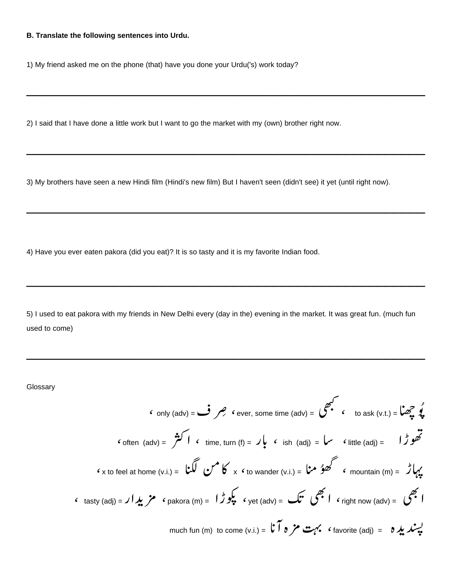## B. Translate the following sentences into Urdu.

1) My friend asked me on the phone (that) have you done your Urdu('s) work today?

2) I said that I have done a little work but I want to go the market with my (own) brother right now.

3) My brothers have seen a new Hindi film (Hindi's new film) But I haven't seen (didn't see) it yet (until right now).

4) Have you ever eaten pakora (did you eat)? It is so tasty and it is my favorite Indian food.

5) I used to eat pakora with my friends in New Delhi every (day in the) evening in the market. It was great fun. (much fun used to come)

Glossary

 $\pmb{\zeta}$ 

$$
\mathbf{c} \text{ only (adv)} = \mathbf{c} \mathbf{y} \mathbf{z}
$$
\n
$$
\mathbf{c} \text{ over, some time (adv)} = \mathbf{y} \mathbf{z} \mathbf{z}
$$
\n
$$
\mathbf{c} \text{ for (adv)} = \mathbf{y} \mathbf{z} \mathbf{z}
$$
\n
$$
\mathbf{c} \text{ for (adv)} = \mathbf{y} \mathbf{z}
$$
\n
$$
\mathbf{c} \text{ for (adv)} = \mathbf{y} \mathbf{z}
$$
\n
$$
\mathbf{c} \text{ for (adv)} = \mathbf{y} \mathbf{z}
$$
\n
$$
\mathbf{c} \text{ for (adv)} = \mathbf{y} \mathbf{z}
$$
\n
$$
\mathbf{c} \text{ for (adv)} = \mathbf{y} \mathbf{z}
$$
\n
$$
\mathbf{c} \text{ for (adv)} = \mathbf{y} \mathbf{z}
$$
\n
$$
\mathbf{c} \text{ for (adv)} = \mathbf{y} \mathbf{z}
$$
\n
$$
\mathbf{c} \text{ for (adv)} = \mathbf{y} \mathbf{z}
$$
\n
$$
\mathbf{c} \text{ for (adv)} = \mathbf{y} \mathbf{z}
$$
\n
$$
\mathbf{c} \text{ for (adv)} = \mathbf{y} \mathbf{z}
$$
\n
$$
\mathbf{c} \text{ for (adv)} = \mathbf{y} \mathbf{z}
$$
\n
$$
\mathbf{c} \text{ for (adv)} = \mathbf{y} \mathbf{z}
$$
\n
$$
\mathbf{c} \text{ for (adv)} = \mathbf{y} \mathbf{z}
$$
\n
$$
\mathbf{c} \text{ for (adv)} = \mathbf{y} \mathbf{z}
$$
\n
$$
\mathbf{c} \text{ for (adv)} = \mathbf{y} \mathbf{z}
$$
\n
$$
\mathbf{c} \text{ for (adv)} = \mathbf{y} \mathbf{z}
$$
\n
$$
\mathbf{c} \text{ for (adv)} = \mathbf{y} \mathbf{z}
$$
\n
$$
\mathbf{c} \text{ for (adv)} = \mathbf{y} \mathbf{z}
$$
\n
$$
\mathbf{c} \text{ for (adv)} = \mathbf{y} \mathbf{z
$$